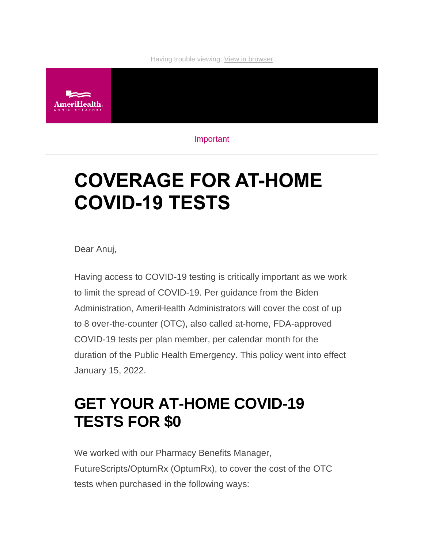#### Having trouble viewing: [View in browser](https://campaign.qa.ibx2.com/r/?id=h17afb36,2623893f,1fc13276&e=cDE9JTQwUWhVbTIyZmwwRGZsRUluQ1k3WW55OUJqQ0kxVDVVVkZUanhWcGRKZDFKQSUzRA&s=HF6eShITUpHKU8SaFEp8oiePKO93nBIQVV74CxuTuTM)



Important

# **COVERAGE FOR AT-HOME COVID-19 TESTS**

Dear Anuj,

Having access to COVID-19 testing is critically important as we work to limit the spread of COVID-19. Per guidance from the Biden Administration, AmeriHealth Administrators will cover the cost of up to 8 over-the-counter (OTC), also called at-home, FDA-approved COVID-19 tests per plan member, per calendar month for the duration of the Public Health Emergency. This policy went into effect January 15, 2022.

### **GET YOUR AT-HOME COVID-19 TESTS FOR \$0**

We worked with our Pharmacy Benefits Manager, FutureScripts/OptumRx (OptumRx), to cover the cost of the OTC tests when purchased in the following ways: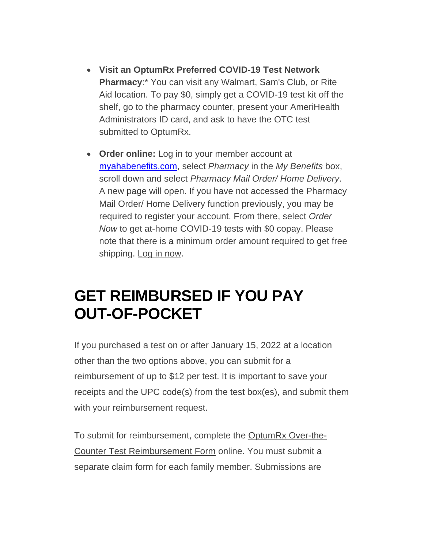- **Visit an OptumRx Preferred COVID-19 Test Network Pharmacy**:\* You can visit any Walmart, Sam's Club, or Rite Aid location. To pay \$0, simply get a COVID-19 test kit off the shelf, go to the pharmacy counter, present your AmeriHealth Administrators ID card, and ask to have the OTC test submitted to OptumRx.
- **Order online:** Log in to your member account at [myahabenefits.com,](https://urldefense.com/v3/__http:/myahabenefits.com__;!!NX8X42bYOKzC!dKHfdU-YRlYlyXzFvY3Hn83cF69gkPcIkayRzy3hrIuI34QE72ds0RC0Ezjsmpk$) select *Pharmacy* in the *My Benefits* box, scroll down and select *Pharmacy Mail Order/ Home Delivery*. A new page will open. If you have not accessed the Pharmacy Mail Order/ Home Delivery function previously, you may be required to register your account. From there, select *Order Now* to get at-home COVID-19 tests with \$0 copay. Please note that there is a minimum order amount required to get free shipping. [Log in now.](https://campaign.qa.ibx2.com/r/?id=h17afb36,2623893f,1fc13277)

### **GET REIMBURSED IF YOU PAY OUT-OF-POCKET**

If you purchased a test on or after January 15, 2022 at a location other than the two options above, you can submit for a reimbursement of up to \$12 per test. It is important to save your receipts and the UPC code(s) from the test box(es), and submit them with your reimbursement request.

To submit for reimbursement, complete the [OptumRx Over-the-](https://campaign.qa.ibx2.com/r/?id=h17afb36,2623893f,1fc13278)[Counter Test Reimbursement Form](https://campaign.qa.ibx2.com/r/?id=h17afb36,2623893f,1fc13278) online. You must submit a separate claim form for each family member. Submissions are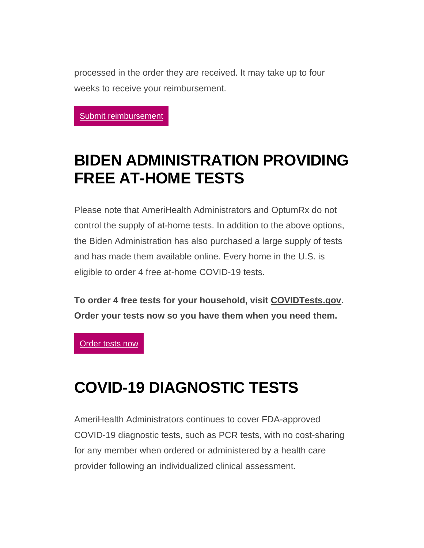processed in the order they are received. It may take up to four weeks to receive your reimbursement.

Submit [reimbursement](https://campaign.qa.ibx2.com/r/?id=h17afb36,2623893f,1fc13279)

## **BIDEN ADMINISTRATION PROVIDING FREE AT-HOME TESTS**

Please note that AmeriHealth Administrators and OptumRx do not control the supply of at-home tests. In addition to the above options, the Biden Administration has also purchased a large supply of tests and has made them available online. Every home in the U.S. is eligible to order 4 free at-home COVID-19 tests.

**To order 4 free tests for your household, visit [COVIDTests.gov.](https://campaign.qa.ibx2.com/r/?id=h17afb36,2623893f,1fc1327a) Order your tests now so you have them when you need them.**

[Order](https://campaign.qa.ibx2.com/r/?id=h17afb36,2623893f,1fc1327b) tests now

#### **COVID-19 DIAGNOSTIC TESTS**

AmeriHealth Administrators continues to cover FDA-approved COVID-19 diagnostic tests, such as PCR tests, with no cost-sharing for any member when ordered or administered by a health care provider following an individualized clinical assessment.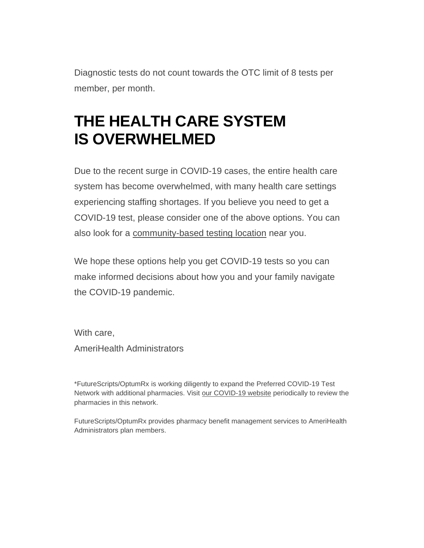Diagnostic tests do not count towards the OTC limit of 8 tests per member, per month.

# **THE HEALTH CARE SYSTEM IS OVERWHELMED**

Due to the recent surge in COVID-19 cases, the entire health care system has become overwhelmed, with many health care settings experiencing staffing shortages. If you believe you need to get a COVID-19 test, please consider one of the above options. You can also look for a [community-based testing location](https://campaign.qa.ibx2.com/r/?id=h17afb36,2623893f,1fc1327c) near you.

We hope these options help you get COVID-19 tests so you can make informed decisions about how you and your family navigate the COVID-19 pandemic.

With care, AmeriHealth Administrators

\*FutureScripts/OptumRx is working diligently to expand the Preferred COVID-19 Test Network with additional pharmacies. Visit [our COVID-19 website](https://campaign.qa.ibx2.com/r/?id=h17afb36,2623893f,1fc1327d) periodically to review the pharmacies in this network.

FutureScripts/OptumRx provides pharmacy benefit management services to AmeriHealth Administrators plan members.